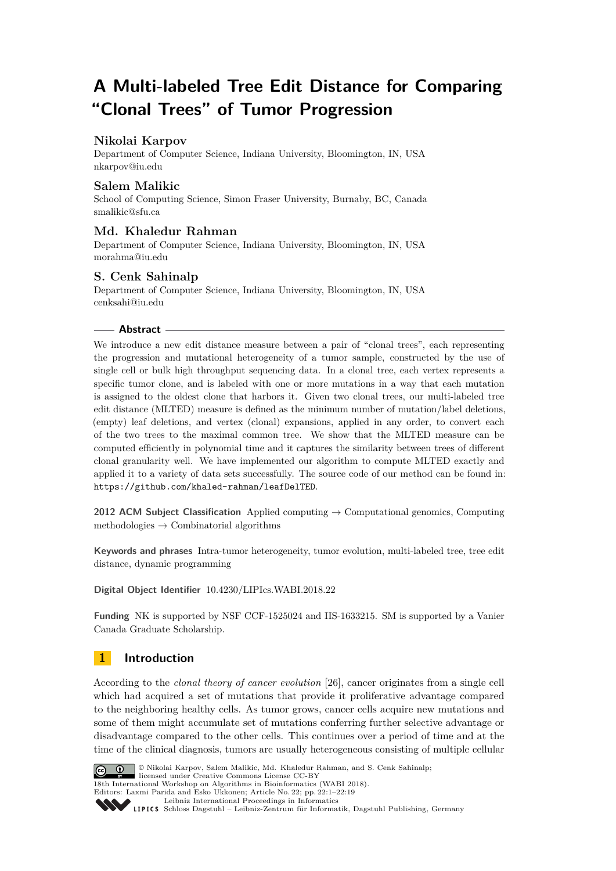# **A Multi-labeled Tree Edit Distance for Comparing "Clonal Trees" of Tumor Progression**

# **Nikolai Karpov**

Department of Computer Science, Indiana University, Bloomington, IN, USA [nkarpov@iu.edu](mailto:nkarpov@iu.edu)

### **Salem Malikic**

School of Computing Science, Simon Fraser University, Burnaby, BC, Canada [smalikic@sfu.ca](mailto:smalikic@sfu.ca)

# **Md. Khaledur Rahman**

Department of Computer Science, Indiana University, Bloomington, IN, USA [morahma@iu.edu](mailto:morahma@iu.edu)

### **S. Cenk Sahinalp**

Department of Computer Science, Indiana University, Bloomington, IN, USA [cenksahi@iu.edu](mailto:cenksahi@iu.edu)

#### **Abstract**

We introduce a new edit distance measure between a pair of "clonal trees", each representing the progression and mutational heterogeneity of a tumor sample, constructed by the use of single cell or bulk high throughput sequencing data. In a clonal tree, each vertex represents a specific tumor clone, and is labeled with one or more mutations in a way that each mutation is assigned to the oldest clone that harbors it. Given two clonal trees, our multi-labeled tree edit distance (MLTED) measure is defined as the minimum number of mutation/label deletions, (empty) leaf deletions, and vertex (clonal) expansions, applied in any order, to convert each of the two trees to the maximal common tree. We show that the MLTED measure can be computed efficiently in polynomial time and it captures the similarity between trees of different clonal granularity well. We have implemented our algorithm to compute MLTED exactly and applied it to a variety of data sets successfully. The source code of our method can be found in: <https://github.com/khaled-rahman/leafDelTED>.

**2012 ACM Subject Classification** Applied computing → Computational genomics, Computing methodologies  $\rightarrow$  Combinatorial algorithms

**Keywords and phrases** Intra-tumor heterogeneity, tumor evolution, multi-labeled tree, tree edit distance, dynamic programming

**Digital Object Identifier** [10.4230/LIPIcs.WABI.2018.22](http://dx.doi.org/10.4230/LIPIcs.WABI.2018.22)

**Funding** NK is supported by NSF CCF-1525024 and IIS-1633215. SM is supported by a Vanier Canada Graduate Scholarship.

# **1 Introduction**

According to the *clonal theory of cancer evolution* [\[26\]](#page-13-0), cancer originates from a single cell which had acquired a set of mutations that provide it proliferative advantage compared to the neighboring healthy cells. As tumor grows, cancer cells acquire new mutations and some of them might accumulate set of mutations conferring further selective advantage or disadvantage compared to the other cells. This continues over a period of time and at the time of the clinical diagnosis, tumors are usually heterogeneous consisting of multiple cellular



© Nikolai Karpov, Salem Malikic, Md. Khaledur Rahman, and S. Cenk Sahinalp; licensed under Creative Commons License CC-BY 18th International Workshop on Algorithms in Bioinformatics (WABI 2018). Editors: Laxmi Parida and Esko Ukkonen; Article No. 22; pp. 22:1-22[:19](#page-18-0) [Leibniz International Proceedings in Informatics](http://www.dagstuhl.de/lipics/)

Leibniz International Froceedings in miormatics<br>
LIPICS [Schloss Dagstuhl – Leibniz-Zentrum für Informatik, Dagstuhl Publishing, Germany](http://www.dagstuhl.de)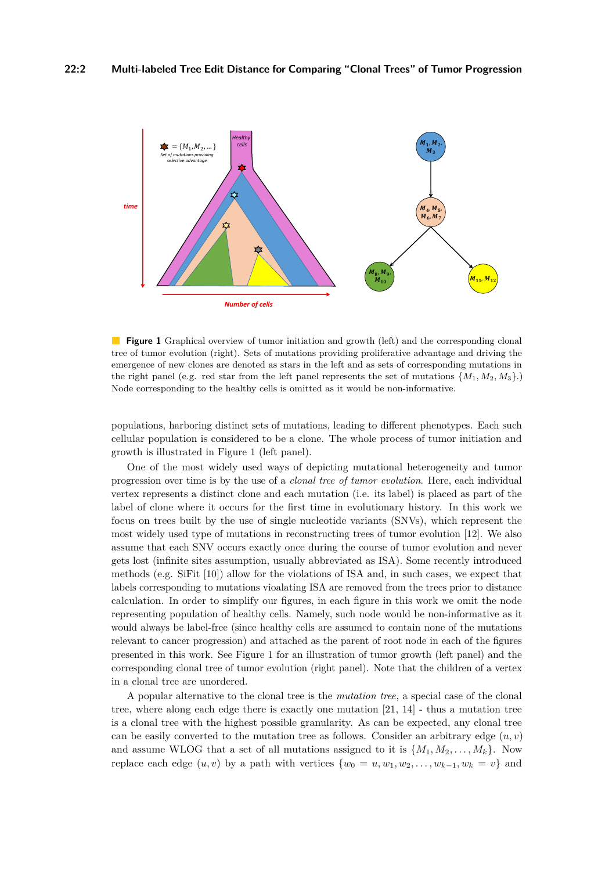<span id="page-1-0"></span>

**Figure 1** Graphical overview of tumor initiation and growth (left) and the corresponding clonal tree of tumor evolution (right). Sets of mutations providing proliferative advantage and driving the emergence of new clones are denoted as stars in the left and as sets of corresponding mutations in the right panel (e.g. red star from the left panel represents the set of mutations  $\{M_1, M_2, M_3\}$ .) Node corresponding to the healthy cells is omitted as it would be non-informative.

populations, harboring distinct sets of mutations, leading to different phenotypes. Each such cellular population is considered to be a clone. The whole process of tumor initiation and growth is illustrated in Figure [1](#page-1-0) (left panel).

One of the most widely used ways of depicting mutational heterogeneity and tumor progression over time is by the use of a *clonal tree of tumor evolution*. Here, each individual vertex represents a distinct clone and each mutation (i.e. its label) is placed as part of the label of clone where it occurs for the first time in evolutionary history. In this work we focus on trees built by the use of single nucleotide variants (SNVs), which represent the most widely used type of mutations in reconstructing trees of tumor evolution [\[12\]](#page-13-1). We also assume that each SNV occurs exactly once during the course of tumor evolution and never gets lost (infinite sites assumption, usually abbreviated as ISA). Some recently introduced methods (e.g. SiFit [\[10\]](#page-13-2)) allow for the violations of ISA and, in such cases, we expect that labels corresponding to mutations vioalating ISA are removed from the trees prior to distance calculation. In order to simplify our figures, in each figure in this work we omit the node representing population of healthy cells. Namely, such node would be non-informative as it would always be label-free (since healthy cells are assumed to contain none of the mutations relevant to cancer progression) and attached as the parent of root node in each of the figures presented in this work. See Figure [1](#page-1-0) for an illustration of tumor growth (left panel) and the corresponding clonal tree of tumor evolution (right panel). Note that the children of a vertex in a clonal tree are unordered.

A popular alternative to the clonal tree is the *mutation tree*, a special case of the clonal tree, where along each edge there is exactly one mutation [\[21,](#page-13-3) [14\]](#page-13-4) - thus a mutation tree is a clonal tree with the highest possible granularity. As can be expected, any clonal tree can be easily converted to the mutation tree as follows. Consider an arbitrary edge  $(u, v)$ and assume WLOG that a set of all mutations assigned to it is  $\{M_1, M_2, \ldots, M_k\}$ . Now replace each edge  $(u, v)$  by a path with vertices  $\{w_0 = u, w_1, w_2, \ldots, w_{k-1}, w_k = v\}$  and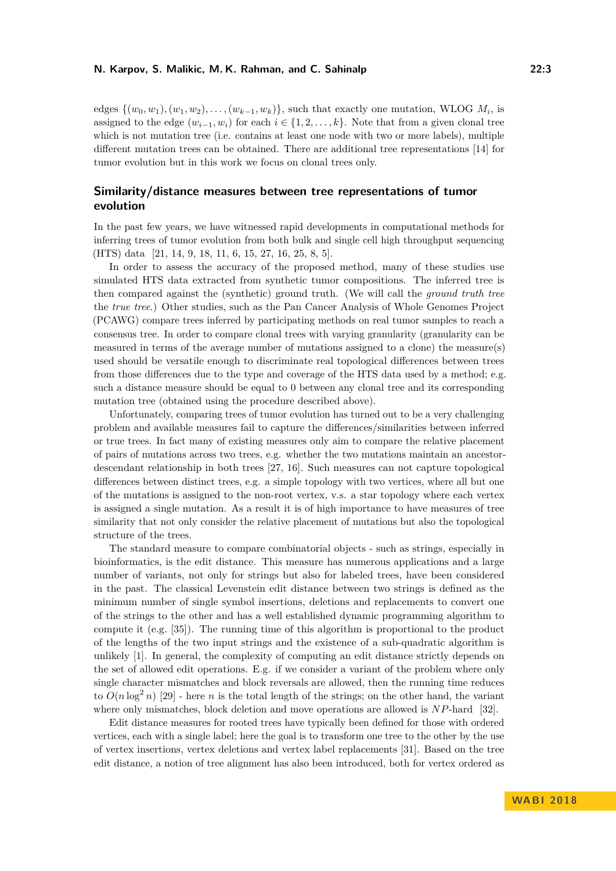#### **N. Karpov, S. Malikic, M. K. Rahman, and C. Sahinalp 22:3**

edges  $\{(w_0, w_1), (w_1, w_2), \ldots, (w_{k-1}, w_k)\}\$ , such that exactly one mutation, WLOG  $M_i$ , is assigned to the edge  $(w_{i-1}, w_i)$  for each  $i \in \{1, 2, \ldots, k\}$ . Note that from a given clonal tree which is not mutation tree (i.e. contains at least one node with two or more labels), multiple different mutation trees can be obtained. There are additional tree representations [\[14\]](#page-13-4) for tumor evolution but in this work we focus on clonal trees only.

# **Similarity/distance measures between tree representations of tumor evolution**

In the past few years, we have witnessed rapid developments in computational methods for inferring trees of tumor evolution from both bulk and single cell high throughput sequencing (HTS) data [\[21,](#page-13-3) [14,](#page-13-4) [9,](#page-13-5) [18,](#page-13-6) [11,](#page-13-7) [6,](#page-12-0) [15,](#page-13-8) [27,](#page-13-9) [16,](#page-13-10) [25,](#page-13-11) [8,](#page-13-12) [5\]](#page-12-1).

In order to assess the accuracy of the proposed method, many of these studies use simulated HTS data extracted from synthetic tumor compositions. The inferred tree is then compared against the (synthetic) ground truth. (We will call the *ground truth tree* the *true tree*.) Other studies, such as the Pan Cancer Analysis of Whole Genomes Project (PCAWG) compare trees inferred by participating methods on real tumor samples to reach a consensus tree. In order to compare clonal trees with varying granularity (granularity can be measured in terms of the average number of mutations assigned to a clone) the measure(s) used should be versatile enough to discriminate real topological differences between trees from those differences due to the type and coverage of the HTS data used by a method; e.g. such a distance measure should be equal to 0 between any clonal tree and its corresponding mutation tree (obtained using the procedure described above).

Unfortunately, comparing trees of tumor evolution has turned out to be a very challenging problem and available measures fail to capture the differences/similarities between inferred or true trees. In fact many of existing measures only aim to compare the relative placement of pairs of mutations across two trees, e.g. whether the two mutations maintain an ancestordescendant relationship in both trees [\[27,](#page-13-9) [16\]](#page-13-10). Such measures can not capture topological differences between distinct trees, e.g. a simple topology with two vertices, where all but one of the mutations is assigned to the non-root vertex, v.s. a star topology where each vertex is assigned a single mutation. As a result it is of high importance to have measures of tree similarity that not only consider the relative placement of mutations but also the topological structure of the trees.

The standard measure to compare combinatorial objects - such as strings, especially in bioinformatics, is the edit distance. This measure has numerous applications and a large number of variants, not only for strings but also for labeled trees, have been considered in the past. The classical Levenstein edit distance between two strings is defined as the minimum number of single symbol insertions, deletions and replacements to convert one of the strings to the other and has a well established dynamic programming algorithm to compute it (e.g. [\[35\]](#page-14-0)). The running time of this algorithm is proportional to the product of the lengths of the two input strings and the existence of a sub-quadratic algorithm is unlikely [\[1\]](#page-12-2). In general, the complexity of computing an edit distance strictly depends on the set of allowed edit operations. E.g. if we consider a variant of the problem where only single character mismatches and block reversals are allowed, then the running time reduces to  $O(n \log^2 n)$  [\[29\]](#page-13-13) - here *n* is the total length of the strings; on the other hand, the variant where only mismatches, block deletion and move operations are allowed is *NP*-hard [\[32\]](#page-14-1).

Edit distance measures for rooted trees have typically been defined for those with ordered vertices, each with a single label; here the goal is to transform one tree to the other by the use of vertex insertions, vertex deletions and vertex label replacements [\[31\]](#page-14-2). Based on the tree edit distance, a notion of tree alignment has also been introduced, both for vertex ordered as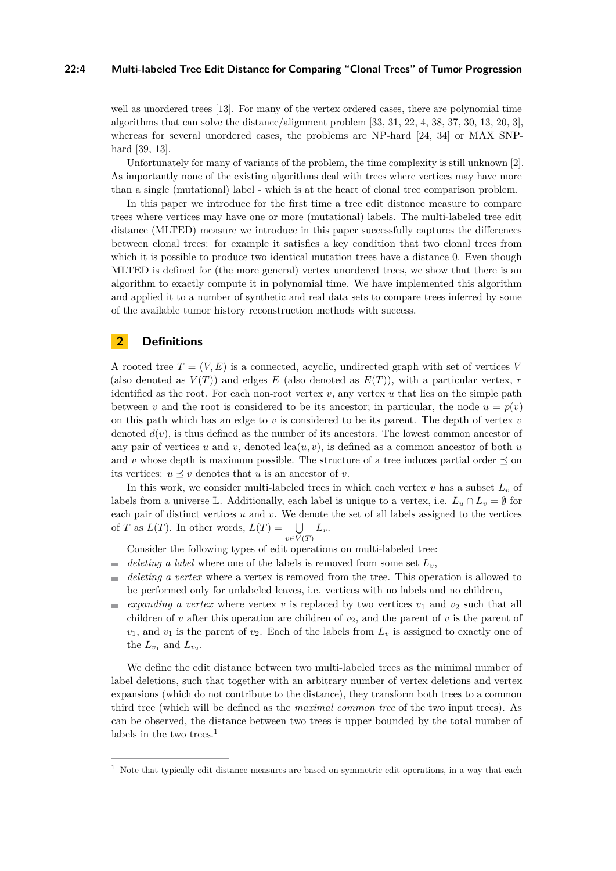#### **22:4 Multi-labeled Tree Edit Distance for Comparing "Clonal Trees" of Tumor Progression**

well as unordered trees [\[13\]](#page-13-14). For many of the vertex ordered cases, there are polynomial time algorithms that can solve the distance/alignment problem [\[33,](#page-14-3) [31,](#page-14-2) [22,](#page-13-15) [4,](#page-12-3) [38,](#page-14-4) [37,](#page-14-5) [30,](#page-14-6) [13,](#page-13-14) [20,](#page-13-16) [3\]](#page-12-4), whereas for several unordered cases, the problems are NP-hard [\[24,](#page-13-17) [34\]](#page-14-7) or MAX SNPhard [\[39,](#page-14-8) [13\]](#page-13-14).

Unfortunately for many of variants of the problem, the time complexity is still unknown [\[2\]](#page-12-5). As importantly none of the existing algorithms deal with trees where vertices may have more than a single (mutational) label - which is at the heart of clonal tree comparison problem.

In this paper we introduce for the first time a tree edit distance measure to compare trees where vertices may have one or more (mutational) labels. The multi-labeled tree edit distance (MLTED) measure we introduce in this paper successfully captures the differences between clonal trees: for example it satisfies a key condition that two clonal trees from which it is possible to produce two identical mutation trees have a distance 0. Even though MLTED is defined for (the more general) vertex unordered trees, we show that there is an algorithm to exactly compute it in polynomial time. We have implemented this algorithm and applied it to a number of synthetic and real data sets to compare trees inferred by some of the available tumor history reconstruction methods with success.

# **2 Definitions**

A rooted tree  $T = (V, E)$  is a connected, acyclic, undirected graph with set of vertices V (also denoted as  $V(T)$ ) and edges E (also denoted as  $E(T)$ ), with a particular vertex, *r* identified as the root. For each non-root vertex  $v$ , any vertex  $u$  that lies on the simple path between *v* and the root is considered to be its ancestor; in particular, the node  $u = p(v)$ on this path which has an edge to *v* is considered to be its parent. The depth of vertex *v* denoted  $d(v)$ , is thus defined as the number of its ancestors. The lowest common ancestor of any pair of vertices *u* and *v*, denoted  $lca(u, v)$ , is defined as a common ancestor of both *u* and *v* whose depth is maximum possible. The structure of a tree induces partial order  $\preceq$  on its vertices:  $u \prec v$  denotes that *u* is an ancestor of *v*.

In this work, we consider multi-labeled trees in which each vertex  $v$  has a subset  $L_v$  of labels from a universe L. Additionally, each label is unique to a vertex, i.e.  $L_u \cap L_v = \emptyset$  for each pair of distinct vertices *u* and *v*. We denote the set of all labels assigned to the vertices of *T* as  $L(T)$ . In other words,  $L(T) = \bigcup$  $\bigcup_{v \in V(T)} L_v.$ 

Consider the following types of edit operations on multi-labeled tree:

- *deleting a label* where one of the labels is removed from some set  $L_n$ , m.
- *deleting a vertex* where a vertex is removed from the tree. This operation is allowed to  $\overline{a}$ be performed only for unlabeled leaves, i.e. vertices with no labels and no children,
- *expanding a vertex* where vertex  $v$  is replaced by two vertices  $v_1$  and  $v_2$  such that all  $\equiv$ children of  $v$  after this operation are children of  $v_2$ , and the parent of  $v$  is the parent of  $v_1$ , and  $v_1$  is the parent of  $v_2$ . Each of the labels from  $L_v$  is assigned to exactly one of the  $L_{v_1}$  and  $L_{v_2}$ .

We define the edit distance between two multi-labeled trees as the minimal number of label deletions, such that together with an arbitrary number of vertex deletions and vertex expansions (which do not contribute to the distance), they transform both trees to a common third tree (which will be defined as the *maximal common tree* of the two input trees). As can be observed, the distance between two trees is upper bounded by the total number of labels in the two trees. $<sup>1</sup>$  $<sup>1</sup>$  $<sup>1</sup>$ </sup>

<span id="page-3-0"></span><sup>&</sup>lt;sup>1</sup> Note that typically edit distance measures are based on symmetric edit operations, in a way that each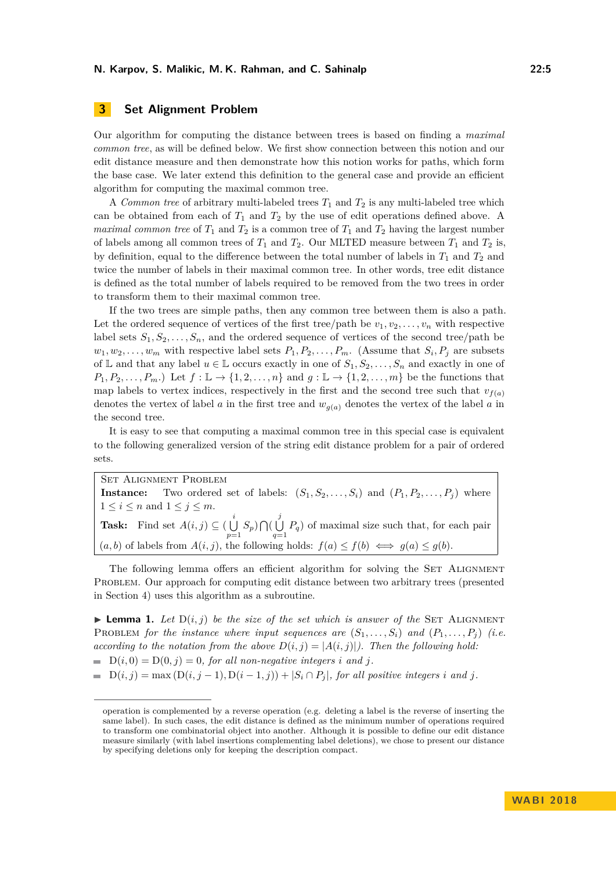### **3 Set Alignment Problem**

Our algorithm for computing the distance between trees is based on finding a *maximal common tree*, as will be defined below. We first show connection between this notion and our edit distance measure and then demonstrate how this notion works for paths, which form the base case. We later extend this definition to the general case and provide an efficient algorithm for computing the maximal common tree.

A *Common tree* of arbitrary multi-labeled trees *T*<sup>1</sup> and *T*<sup>2</sup> is any multi-labeled tree which can be obtained from each of *T*<sup>1</sup> and *T*<sup>2</sup> by the use of edit operations defined above. A *maximal common tree* of  $T_1$  and  $T_2$  is a common tree of  $T_1$  and  $T_2$  having the largest number of labels among all common trees of  $T_1$  and  $T_2$ . Our MLTED measure between  $T_1$  and  $T_2$  is, by definition, equal to the difference between the total number of labels in  $T_1$  and  $T_2$  and twice the number of labels in their maximal common tree. In other words, tree edit distance is defined as the total number of labels required to be removed from the two trees in order to transform them to their maximal common tree.

If the two trees are simple paths, then any common tree between them is also a path. Let the ordered sequence of vertices of the first tree/path be  $v_1, v_2, \ldots, v_n$  with respective label sets  $S_1, S_2, \ldots, S_n$ , and the ordered sequence of vertices of the second tree/path be  $w_1, w_2, \ldots, w_m$  with respective label sets  $P_1, P_2, \ldots, P_m$ . (Assume that  $S_i, P_j$  are subsets of  $\mathbb{L}$  and that any label  $u \in \mathbb{L}$  occurs exactly in one of  $S_1, S_2, \ldots, S_n$  and exactly in one of  $P_1, P_2, \ldots, P_m$ .) Let  $f : \mathbb{L} \to \{1, 2, \ldots, n\}$  and  $g : \mathbb{L} \to \{1, 2, \ldots, m\}$  be the functions that map labels to vertex indices, respectively in the first and the second tree such that  $v_{f(a)}$ denotes the vertex of label *a* in the first tree and  $w_{q(a)}$  denotes the vertex of the label *a* in the second tree.

It is easy to see that computing a maximal common tree in this special case is equivalent to the following generalized version of the string edit distance problem for a pair of ordered sets.

Set Alignment Problem **Instance:** Two ordered set of labels:  $(S_1, S_2, \ldots, S_i)$  and  $(P_1, P_2, \ldots, P_i)$  where  $1 \leq i \leq n$  and  $1 \leq j \leq m$ . **Task:** Find set  $A(i, j) \subseteq \begin{pmatrix} i \\ j \end{pmatrix}$  $\bigcup_{p=1}^{i} S_p$ )  $\bigcap (\bigcup_{q=1}^{j}$  $\bigcup_{q=1} P_q$  of maximal size such that, for each pair  $(a, b)$  of labels from  $A(i, j)$ , the following holds:  $f(a) \leq f(b) \iff g(a) \leq g(b)$ .

The following lemma offers an efficient algorithm for solving the SET ALIGNMENT Problem. Our approach for computing edit distance between two arbitrary trees (presented in Section [4\)](#page-5-0) uses this algorithm as a subroutine.

<span id="page-4-0"></span>**Lemma 1.** Let  $D(i, j)$  be the size of the set which is answer of the SET ALIGNMENT PROBLEM *for the instance where input sequences are*  $(S_1, \ldots, S_i)$  *and*  $(P_1, \ldots, P_i)$  *(i.e. according to the notation from the above*  $D(i, j) = |A(i, j)|$ . Then the following hold:

 $D(i, 0) = D(0, j) = 0$ , for all non-negative integers *i* and *j*.

 $D(i, j) = \max(D(i, j - 1), D(i - 1, j)) + |S_i \cap P_j|$ , for all positive integers *i* and *j*.

operation is complemented by a reverse operation (e.g. deleting a label is the reverse of inserting the same label). In such cases, the edit distance is defined as the minimum number of operations required to transform one combinatorial object into another. Although it is possible to define our edit distance measure similarly (with label insertions complementing label deletions), we chose to present our distance by specifying deletions only for keeping the description compact.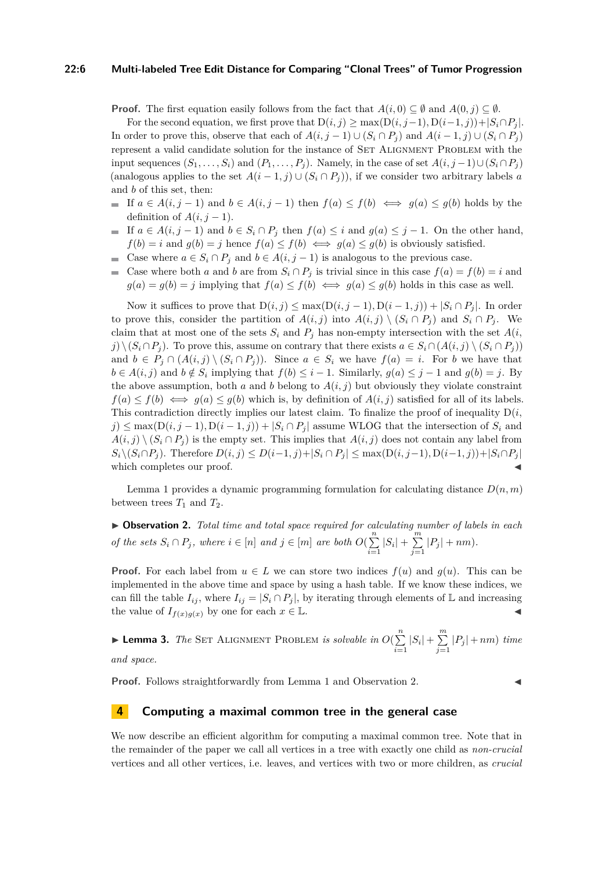#### **22:6 Multi-labeled Tree Edit Distance for Comparing "Clonal Trees" of Tumor Progression**

**Proof.** The first equation easily follows from the fact that  $A(i,0) \subseteq \emptyset$  and  $A(0, j) \subseteq \emptyset$ .

For the second equation, we first prove that  $D(i, j) \ge \max(D(i, j-1), D(i-1, j)) + |S_i \cap P_j|$ . In order to prove this, observe that each of *A*(*i, j* − 1) ∪ (*S<sup>i</sup>* ∩ *P<sup>j</sup>* ) and *A*(*i* − 1*, j*) ∪ (*S<sup>i</sup>* ∩ *P<sup>j</sup>* ) represent a valid candidate solution for the instance of SET ALIGNMENT PROBLEM with the input sequences  $(S_1, \ldots, S_i)$  and  $(P_1, \ldots, P_j)$ . Namely, in the case of set  $A(i, j-1) \cup (S_i \cap P_j)$ (analogous applies to the set  $A(i-1, j) \cup (S_i \cap P_j)$ ), if we consider two arbitrary labels *a* and *b* of this set, then:

- If  $a \in A(i, j-1)$  and  $b \in A(i, j-1)$  then  $f(a) \leq f(b) \iff g(a) \leq g(b)$  holds by the definition of  $A(i, j-1)$ .
- If  $a \in A(i, j-1)$  and  $b \in S_i \cap P_j$  then  $f(a) \leq i$  and  $g(a) \leq j-1$ . On the other hand,  $f(b) = i$  and  $g(b) = j$  hence  $f(a) \leq f(b) \iff g(a) \leq g(b)$  is obviously satisfied.
- Case where  $a \in S_i \cap P_j$  and  $b \in A(i, j-1)$  is analogous to the previous case.
- Case where both *a* and *b* are from  $S_i \cap P_j$  is trivial since in this case  $f(a) = f(b) = i$  and  $g(a) = g(b) = j$  implying that  $f(a) \leq f(b) \iff g(a) \leq g(b)$  holds in this case as well.

Now it suffices to prove that  $D(i, j) \leq max(D(i, j - 1), D(i - 1, j)) + |S_i \cap P_j|$ . In order to prove this, consider the partition of  $A(i, j)$  into  $A(i, j) \setminus (S_i \cap P_j)$  and  $S_i \cap P_j$ . We claim that at most one of the sets  $S_i$  and  $P_j$  has non-empty intersection with the set  $A(i,$ *j*) \  $(S_i ∩ P_j)$ . To prove this, assume on contrary that there exists  $a ∈ S_i ∩ (A(i, j) \setminus (S_i ∩ P_j))$ and  $b \in P_j \cap (A(i,j) \setminus (S_i \cap P_j))$ . Since  $a \in S_i$  we have  $f(a) = i$ . For *b* we have that  $b \in A(i, j)$  and  $b \notin S_i$  implying that  $f(b) \leq i - 1$ . Similarly,  $g(a) \leq j - 1$  and  $g(b) = j$ . By the above assumption, both *a* and *b* belong to  $A(i, j)$  but obviously they violate constraint  $f(a) \leq f(b) \iff g(a) \leq g(b)$  which is, by definition of  $A(i, j)$  satisfied for all of its labels. This contradiction directly implies our latest claim. To finalize the proof of inequality  $D(i,$  $j$ )  $\leq$  max $(D(i, j - 1), D(i - 1, j)) + |S_i \cap P_j|$  assume WLOG that the intersection of  $S_i$  and  $A(i, j) \setminus (S_i \cap P_j)$  is the empty set. This implies that  $A(i, j)$  does not contain any label from  $S_i \setminus (S_i \cap P_j)$ . Therefore  $D(i, j) \leq D(i-1, j) + |S_i \cap P_j| \leq \max(D(i, j-1), D(i-1, j)) + |S_i \cap P_j|$ which completes our proof.

Lemma [1](#page-4-0) provides a dynamic programming formulation for calculating distance *D*(*n, m*) between trees  $T_1$  and  $T_2$ .

<span id="page-5-1"></span>I **Observation 2.** *Total time and total space required for calculating number of labels in each of the sets*  $S_i \cap P_j$ *, where*  $i \in [n]$  *and*  $j \in [m]$  *are both*  $O(\sum_{i=1}^n n_i)$  $\sum_{i=1}^{n} |S_i| + \sum_{j=1}^{m}$  $\sum_{j=1} |P_j| + nm$ .

**Proof.** For each label from  $u \in L$  we can store two indices  $f(u)$  and  $g(u)$ . This can be implemented in the above time and space by using a hash table. If we know these indices, we can fill the table  $I_{ij}$ , where  $I_{ij} = |S_i \cap P_j|$ , by iterating through elements of L and increasing the value of  $I_{f(x)g(x)}$  by one for each  $x \in \mathbb{L}$ .

**Example 12.** The SET ALIGNMENT PROBLEM is solvable in  $O(\sum_{n=1}^{n} n)^n$  $\sum_{i=1}^{n} |S_i| + \sum_{j=1}^{m}$  $\sum_{j=1} |P_j| + nm$ ) *time and space.*

**Proof.** Follows straightforwardly from Lemma [1](#page-4-0) and Observation [2.](#page-5-1)

#### <span id="page-5-0"></span>**4 Computing a maximal common tree in the general case**

We now describe an efficient algorithm for computing a maximal common tree. Note that in the remainder of the paper we call all vertices in a tree with exactly one child as *non-crucial* vertices and all other vertices, i.e. leaves, and vertices with two or more children, as *crucial*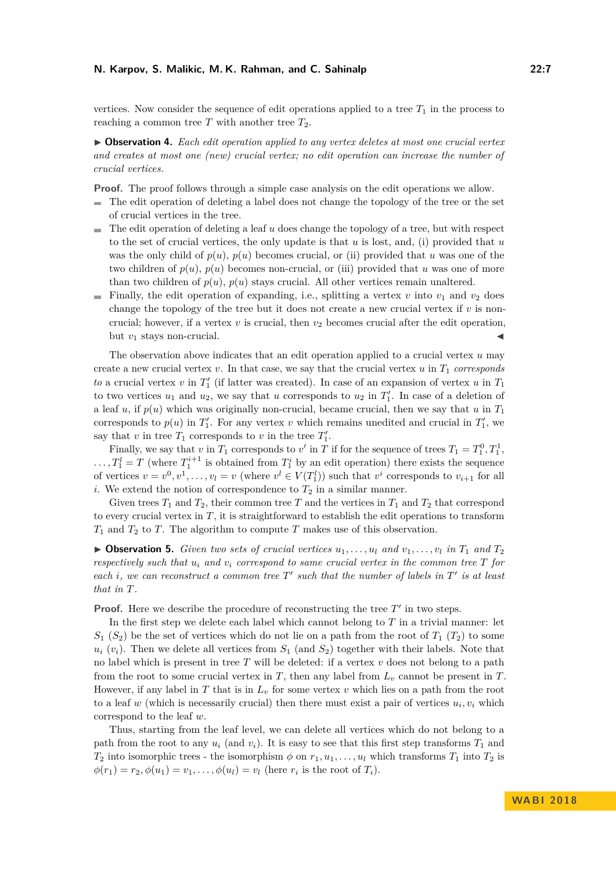vertices. Now consider the sequence of edit operations applied to a tree  $T_1$  in the process to reaching a common tree  $T$  with another tree  $T_2$ .

I **Observation 4.** *Each edit operation applied to any vertex deletes at most one crucial vertex and creates at most one (new) crucial vertex; no edit operation can increase the number of crucial vertices.*

**Proof.** The proof follows through a simple case analysis on the edit operations we allow.

- The edit operation of deleting a label does not change the topology of the tree or the set of crucial vertices in the tree.
- The edit operation of deleting a leaf *u* does change the topology of a tree, but with respect to the set of crucial vertices, the only update is that *u* is lost, and, (i) provided that *u* was the only child of  $p(u)$ ,  $p(u)$  becomes crucial, or (ii) provided that *u* was one of the two children of  $p(u)$ ,  $p(u)$  becomes non-crucial, or (iii) provided that *u* was one of more than two children of  $p(u)$ ,  $p(u)$  stays crucial. All other vertices remain unaltered.
- Finally, the edit operation of expanding, i.e., splitting a vertex *v* into  $v_1$  and  $v_2$  does change the topology of the tree but it does not create a new crucial vertex if  $v$  is noncrucial; however, if a vertex  $v$  is crucial, then  $v_2$  becomes crucial after the edit operation, but  $v_1$  stays non-crucial.

The observation above indicates that an edit operation applied to a crucial vertex *u* may create a new crucial vertex  $v$ . In that case, we say that the crucial vertex  $u$  in  $T_1$  *corresponds to* a crucial vertex *v* in  $T_1'$  (if latter was created). In case of an expansion of vertex *u* in  $T_1$ to two vertices  $u_1$  and  $u_2$ , we say that *u* corresponds to  $u_2$  in  $T_1'$ . In case of a deletion of a leaf *u*, if  $p(u)$  which was originally non-crucial, became crucial, then we say that *u* in  $T_1$ corresponds to  $p(u)$  in  $T_1'$ . For any vertex *v* which remains unedited and crucial in  $T_1'$ , we say that *v* in tree  $T_1$  corresponds to *v* in the tree  $T_1'$ .

Finally, we say that *v* in  $T_1$  corresponds to *v'* in  $T$  if for the sequence of trees  $T_1 = T_1^0, T_1^1$ ,  $\ldots$ ,  $T_1^l = T$  (where  $T_1^{i+1}$  is obtained from  $T_1^i$  by an edit operation) there exists the sequence of vertices  $v = v^0, v^1, \ldots, v_l = v$  (where  $v^l \in V(T_1^l)$ ) such that  $v^i$  corresponds to  $v_{i+1}$  for all *i*. We extend the notion of correspondence to  $T_2$  in a similar manner.

Given trees  $T_1$  and  $T_2$ , their common tree  $T$  and the vertices in  $T_1$  and  $T_2$  that correspond to every crucial vertex in *T*, it is straightforward to establish the edit operations to transform *T*<sup>1</sup> and *T*<sup>2</sup> to *T*. The algorithm to compute *T* makes use of this observation.

 $\triangleright$  **Observation 5.** *Given two sets of crucial vertices*  $u_1, \ldots, u_l$  *and*  $v_1, \ldots, v_l$  *in*  $T_1$  *and*  $T_2$ *respectively such that*  $u_i$  *and*  $v_i$  *correspond to same crucial vertex in the common tree*  $T$  *for each i*, we can reconstruct a common tree  $T'$  such that the number of labels in  $T'$  is at least *that in T.*

**Proof.** Here we describe the procedure of reconstructing the tree  $T'$  in two steps.

In the first step we delete each label which cannot belong to *T* in a trivial manner: let  $S_1$  ( $S_2$ ) be the set of vertices which do not lie on a path from the root of  $T_1$  ( $T_2$ ) to some  $u_i$  ( $v_i$ ). Then we delete all vertices from  $S_1$  (and  $S_2$ ) together with their labels. Note that no label which is present in tree *T* will be deleted: if a vertex *v* does not belong to a path from the root to some crucial vertex in  $T$ , then any label from  $L<sub>v</sub>$  cannot be present in  $T$ . However, if any label in  $T$  that is in  $L<sub>v</sub>$  for some vertex  $v$  which lies on a path from the root to a leaf  $w$  (which is necessarily crucial) then there must exist a pair of vertices  $u_i, v_i$  which correspond to the leaf *w*.

Thus, starting from the leaf level, we can delete all vertices which do not belong to a path from the root to any  $u_i$  (and  $v_i$ ). It is easy to see that this first step transforms  $T_1$  and *T*<sub>2</sub> into isomorphic trees - the isomorphism  $\phi$  on  $r_1, u_1, \ldots, u_l$  which transforms  $T_1$  into  $T_2$  is  $\phi(r_1) = r_2, \phi(u_1) = v_1, \dots, \phi(u_l) = v_l$  (here  $r_i$  is the root of  $T_i$ ).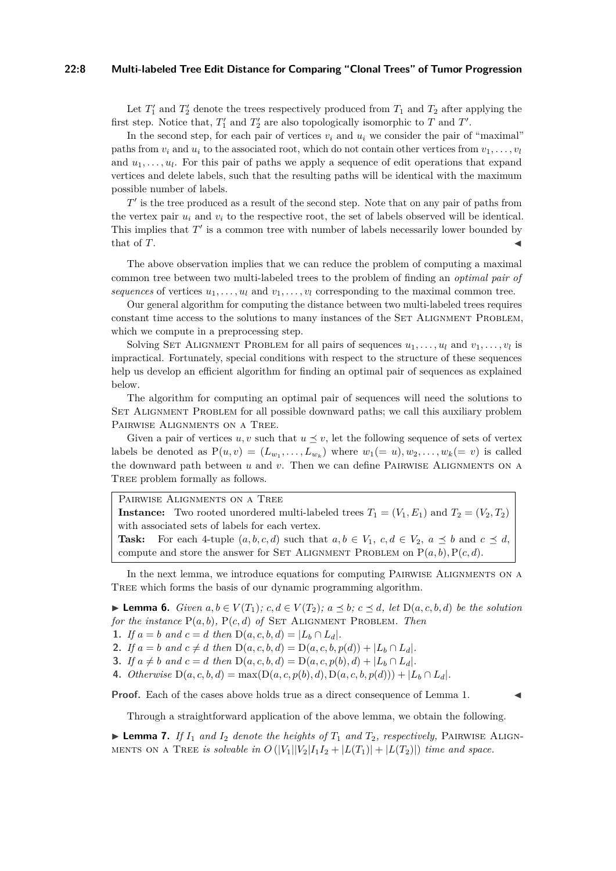#### **22:8 Multi-labeled Tree Edit Distance for Comparing "Clonal Trees" of Tumor Progression**

Let  $T_1'$  and  $T_2'$  denote the trees respectively produced from  $T_1$  and  $T_2$  after applying the first step. Notice that,  $T'_1$  and  $T'_2$  are also topologically isomorphic to  $T$  and  $T'$ .

In the second step, for each pair of vertices  $v_i$  and  $u_i$  we consider the pair of "maximal" paths from  $v_i$  and  $u_i$  to the associated root, which do not contain other vertices from  $v_1, \ldots, v_l$ and  $u_1, \ldots, u_l$ . For this pair of paths we apply a sequence of edit operations that expand vertices and delete labels, such that the resulting paths will be identical with the maximum possible number of labels.

 $T'$  is the tree produced as a result of the second step. Note that on any pair of paths from the vertex pair  $u_i$  and  $v_i$  to the respective root, the set of labels observed will be identical. This implies that  $T'$  is a common tree with number of labels necessarily lower bounded by that of  $T$ .

The above observation implies that we can reduce the problem of computing a maximal common tree between two multi-labeled trees to the problem of finding an *optimal pair of sequences* of vertices  $u_1, \ldots, u_l$  and  $v_1, \ldots, v_l$  corresponding to the maximal common tree.

Our general algorithm for computing the distance between two multi-labeled trees requires constant time access to the solutions to many instances of the SET ALIGNMENT PROBLEM, which we compute in a preprocessing step.

Solving SET ALIGNMENT PROBLEM for all pairs of sequences  $u_1, \ldots, u_l$  and  $v_1, \ldots, v_l$  is impractical. Fortunately, special conditions with respect to the structure of these sequences help us develop an efficient algorithm for finding an optimal pair of sequences as explained below.

The algorithm for computing an optimal pair of sequences will need the solutions to SET ALIGNMENT PROBLEM for all possible downward paths; we call this auxiliary problem PAIRWISE ALIGNMENTS ON A TREE.

Given a pair of vertices  $u, v$  such that  $u \leq v$ , let the following sequence of sets of vertex labels be denoted as  $P(u, v) = (L_{w_1}, \ldots, L_{w_k})$  where  $w_1 (= u), w_2, \ldots, w_k (= v)$  is called the downward path between  $u$  and  $v$ . Then we can define PAIRWISE ALIGNMENTS ON A Tree problem formally as follows.

| PAIRWISE ALIGNMENTS ON A TREE                                                                                              |
|----------------------------------------------------------------------------------------------------------------------------|
| <b>Instance:</b> Two rooted unordered multi-labeled trees $T_1 = (V_1, E_1)$ and $T_2 = (V_2, T_2)$                        |
| with associated sets of labels for each vertex.                                                                            |
| <b>Task:</b> For each 4-tuple $(a, b, c, d)$ such that $a, b \in V_1$ , $c, d \in V_2$ , $a \preceq b$ and $c \preceq d$ , |
| compute and store the answer for SET ALIGNMENT PROBLEM on $P(a, b)$ , $P(c, d)$ .                                          |

In the next lemma, we introduce equations for computing PAIRWISE ALIGNMENTS ON A Tree which forms the basis of our dynamic programming algorithm.

<span id="page-7-0"></span>► **Lemma 6.** *Given*  $a, b \in V(T_1)$ ;  $c, d \in V(T_2)$ ;  $a \preceq b$ ;  $c \preceq d$ , let  $D(a, c, b, d)$  be the solution *for the instance*  $P(a, b)$ *,*  $P(c, d)$  *of* SET ALIGNMENT PROBLEM*. Then* 

**1.** *If*  $a = b$  *and*  $c = d$  *then*  $D(a, c, b, d) = |L_b \cap L_d|$ *.* 

**2.** *If*  $a = b$  *and*  $c \neq d$  *then*  $D(a, c, b, d) = D(a, c, b, p(d)) + |L_b \cap L_d|$ *.* 

**3.** *If*  $a \neq b$  *and*  $c = d$  *then*  $D(a, c, b, d) = D(a, c, p(b), d) + |L_b \cap L_d|$ *.* 

**4.** *Otherwise*  $D(a, c, b, d) = \max(D(a, c, p(b), d), D(a, c, b, p(d))) + |L_b \cap L_d|$ .

**Proof.** Each of the cases above holds true as a direct consequence of Lemma [1.](#page-4-0)

Through a straightforward application of the above lemma, we obtain the following.

**Lemma 7.** *If*  $I_1$  *and*  $I_2$  *denote the heights of*  $T_1$  *and*  $T_2$ *, respectively,* PAIRWISE ALIGN-MENTS ON A TREE *is solvable in*  $O(|V_1||V_2|I_1I_2 + |L(T_1)| + |L(T_2)|)$  *time and space.*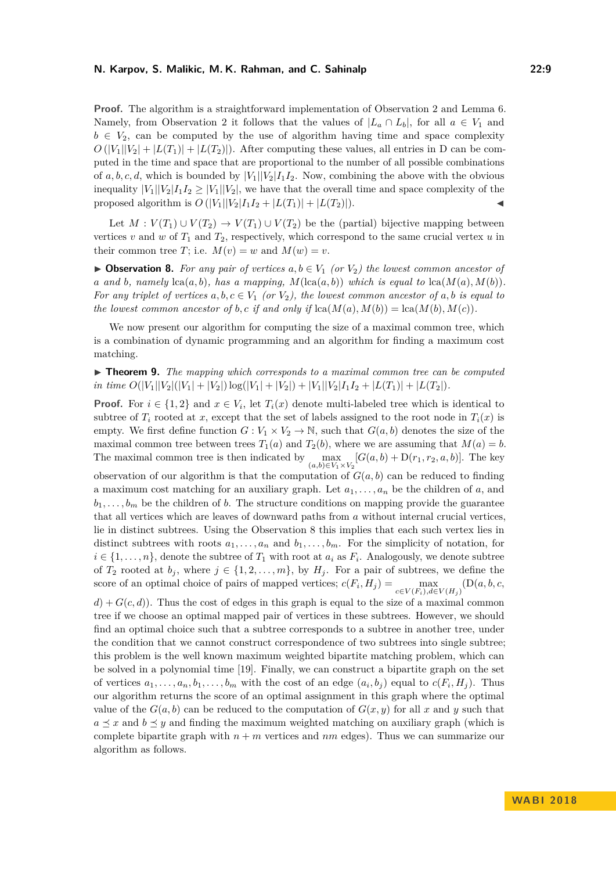#### **N. Karpov, S. Malikic, M. K. Rahman, and C. Sahinalp 22:9**

**Proof.** The algorithm is a straightforward implementation of Observation [2](#page-5-1) and Lemma [6.](#page-7-0) Namely, from Observation [2](#page-5-1) it follows that the values of  $|L_a \cap L_b|$ , for all  $a \in V_1$  and  $b \in V_2$ , can be computed by the use of algorithm having time and space complexity  $O(|V_1||V_2| + |L(T_1)| + |L(T_2)|)$ . After computing these values, all entries in D can be computed in the time and space that are proportional to the number of all possible combinations of  $a, b, c, d$ , which is bounded by  $|V_1||V_2|I_1I_2$ . Now, combining the above with the obvious inequality  $|V_1||V_2|I_1I_2 \geq |V_1||V_2|$ , we have that the overall time and space complexity of the proposed algorithm is  $O(|V_1||V_2|I_1I_2 + |L(T_1)| + |L(T_2)|).$ 

Let  $M: V(T_1) \cup V(T_2) \rightarrow V(T_1) \cup V(T_2)$  be the (partial) bijective mapping between vertices  $v$  and  $w$  of  $T_1$  and  $T_2$ , respectively, which correspond to the same crucial vertex  $u$  in their common tree *T*; i.e.  $M(v) = w$  and  $M(w) = v$ .

<span id="page-8-0"></span>▶ **Observation 8.** For any pair of vertices  $a, b \in V_1$  (or  $V_2$ ) the lowest common ancestor of *a* and *b*, namely  $lca(a, b)$ *, has a mapping,*  $M(lca(a, b))$  *which is equal to*  $lca(M(a), M(b))$ *. For any triplet of vertices*  $a, b, c \in V_1$  *(or*  $V_2$ *), the lowest common ancestor of*  $a, b$  *is equal to the lowest common ancestor of b,c if and only if*  $lca(M(a), M(b)) = lca(M(b), M(c))$ .

We now present our algorithm for computing the size of a maximal common tree, which is a combination of dynamic programming and an algorithm for finding a maximum cost matching.

**► Theorem 9.** *The mapping which corresponds to a maximal common tree can be computed in time*  $O(|V_1||V_2|(|V_1| + |V_2|) \log(|V_1| + |V_2|) + |V_1||V_2|I_1I_2 + |L(T_1)| + |L(T_2|)$ .

**Proof.** For  $i \in \{1,2\}$  and  $x \in V_i$ , let  $T_i(x)$  denote multi-labeled tree which is identical to subtree of  $T_i$  rooted at *x*, except that the set of labels assigned to the root node in  $T_i(x)$  is empty. We first define function  $G: V_1 \times V_2 \to \mathbb{N}$ , such that  $G(a, b)$  denotes the size of the maximal common tree between trees  $T_1(a)$  and  $T_2(b)$ , where we are assuming that  $M(a) = b$ . The maximal common tree is then indicated by  $\max_{(a,b)\in V_1\times V_2}[G(a,b)+D(r_1,r_2,a,b)]$ . The key observation of our algorithm is that the computation of  $G(a, b)$  can be reduced to finding a maximum cost matching for an auxiliary graph. Let  $a_1, \ldots, a_n$  be the children of  $a$ , and  $b_1, \ldots, b_m$  be the children of *b*. The structure conditions on mapping provide the guarantee that all vertices which are leaves of downward paths from *a* without internal crucial vertices, lie in distinct subtrees. Using the Observation [8](#page-8-0) this implies that each such vertex lies in distinct subtrees with roots  $a_1, \ldots, a_n$  and  $b_1, \ldots, b_m$ . For the simplicity of notation, for  $i \in \{1, \ldots, n\}$ , denote the subtree of  $T_1$  with root at  $a_i$  as  $F_i$ . Analogously, we denote subtree of  $T_2$  rooted at  $b_j$ , where  $j \in \{1, 2, \ldots, m\}$ , by  $H_j$ . For a pair of subtrees, we define the score of an optimal choice of pairs of mapped vertices;  $c(F_i, H_j) = \max_{c \in V(F_i), d \in V(H_j)} (\mathcal{D}(a, b, c, d))$  $d$ ) +  $G(c, d)$ ). Thus the cost of edges in this graph is equal to the size of a maximal common tree if we choose an optimal mapped pair of vertices in these subtrees. However, we should find an optimal choice such that a subtree corresponds to a subtree in another tree, under the condition that we cannot construct correspondence of two subtrees into single subtree; this problem is the well known maximum weighted bipartite matching problem, which can be solved in a polynomial time [\[19\]](#page-13-18). Finally, we can construct a bipartite graph on the set of vertices  $a_1, \ldots, a_n, b_1, \ldots, b_m$  with the cost of an edge  $(a_i, b_j)$  equal to  $c(F_i, H_j)$ . Thus our algorithm returns the score of an optimal assignment in this graph where the optimal value of the  $G(a, b)$  can be reduced to the computation of  $G(x, y)$  for all x and y such that  $a \prec x$  and  $b \prec y$  and finding the maximum weighted matching on auxiliary graph (which is complete bipartite graph with  $n + m$  vertices and  $nm$  edges). Thus we can summarize our algorithm as follows.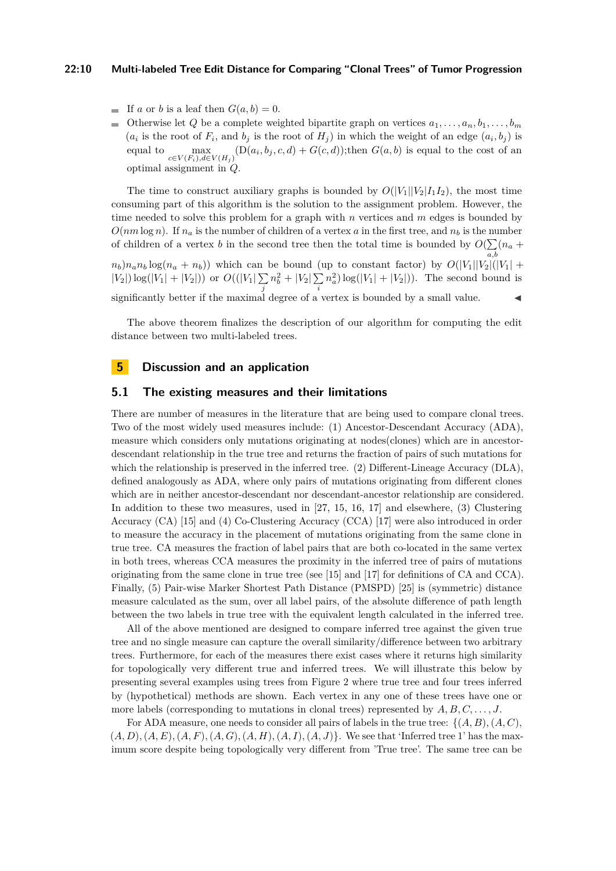#### **22:10 Multi-labeled Tree Edit Distance for Comparing "Clonal Trees" of Tumor Progression**

- If *a* or *b* is a leaf then  $G(a, b) = 0$ .
- Otherwise let *Q* be a complete weighted bipartite graph on vertices  $a_1, \ldots, a_n, b_1, \ldots, b_m$  $\overline{a}$  $(a_i$  is the root of  $F_i$ , and  $b_j$  is the root of  $H_j$ ) in which the weight of an edge  $(a_i, b_j)$  is equal to  $\max_{c \in V(F_i), d \in V(H_j)} (\mathrm{D}(a_i, b_j, c, d) + G(c, d))$ ; then  $G(a, b)$  is equal to the cost of an optimal assignment in *Q*.

The time to construct auxiliary graphs is bounded by  $O(|V_1||V_2|I_1I_2)$ , the most time consuming part of this algorithm is the solution to the assignment problem. However, the time needed to solve this problem for a graph with *n* vertices and *m* edges is bounded by  $O(nm \log n)$ . If  $n_a$  is the number of children of a vertex *a* in the first tree, and  $n_b$  is the number of children of a vertex *b* in the second tree then the total time is bounded by  $O(\sum (n_a +$ *a,b*  $n_b$ ) $n_a n_b \log(n_a + n_b)$ ) which can be bound (up to constant factor) by  $O(|V_1||V_2||(|V_1| +$  $|V_2|$ ) log( $|V_1| + |V_2|$ )) or  $O((|V_1|)\sum$ *j*  $n_b^2 + |V_2| \sum$ *i*  $n_a^2$ )  $\log(|V_1| + |V_2|)$ ). The second bound is significantly better if the maximal degree of a vertex is bounded by a small value.

The above theorem finalizes the description of our algorithm for computing the edit distance between two multi-labeled trees.

### **5 Discussion and an application**

#### <span id="page-9-0"></span>**5.1 The existing measures and their limitations**

There are number of measures in the literature that are being used to compare clonal trees. Two of the most widely used measures include: (1) Ancestor-Descendant Accuracy (ADA), measure which considers only mutations originating at nodes(clones) which are in ancestordescendant relationship in the true tree and returns the fraction of pairs of such mutations for which the relationship is preserved in the inferred tree. (2) Different-Lineage Accuracy (DLA), defined analogously as ADA, where only pairs of mutations originating from different clones which are in neither ancestor-descendant nor descendant-ancestor relationship are considered. In addition to these two measures, used in [\[27,](#page-13-9) [15,](#page-13-8) [16,](#page-13-10) [17\]](#page-13-19) and elsewhere, (3) Clustering Accuracy (CA) [\[15\]](#page-13-8) and (4) Co-Clustering Accuracy (CCA) [\[17\]](#page-13-19) were also introduced in order to measure the accuracy in the placement of mutations originating from the same clone in true tree. CA measures the fraction of label pairs that are both co-located in the same vertex in both trees, whereas CCA measures the proximity in the inferred tree of pairs of mutations originating from the same clone in true tree (see [\[15\]](#page-13-8) and [\[17\]](#page-13-19) for definitions of CA and CCA). Finally, (5) Pair-wise Marker Shortest Path Distance (PMSPD) [\[25\]](#page-13-11) is (symmetric) distance measure calculated as the sum, over all label pairs, of the absolute difference of path length between the two labels in true tree with the equivalent length calculated in the inferred tree.

All of the above mentioned are designed to compare inferred tree against the given true tree and no single measure can capture the overall similarity/difference between two arbitrary trees. Furthermore, for each of the measures there exist cases where it returns high similarity for topologically very different true and inferred trees. We will illustrate this below by presenting several examples using trees from Figure [2](#page-10-0) where true tree and four trees inferred by (hypothetical) methods are shown. Each vertex in any one of these trees have one or more labels (corresponding to mutations in clonal trees) represented by *A, B, C, . . . , J*.

For ADA measure, one needs to consider all pairs of labels in the true tree:  $\{(A, B), (A, C),\}$  $(A, D), (A, E), (A, F), (A, G), (A, H), (A, I), (A, J)$ . We see that 'Inferred tree 1' has the maximum score despite being topologically very different from 'True tree'. The same tree can be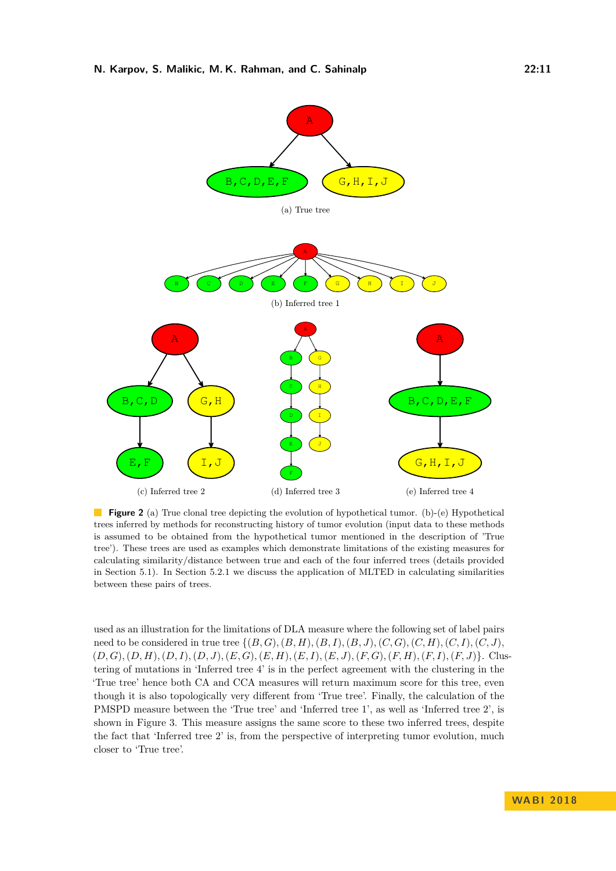<span id="page-10-0"></span>

**Figure 2** (a) True clonal tree depicting the evolution of hypothetical tumor. (b)-(e) Hypothetical trees inferred by methods for reconstructing history of tumor evolution (input data to these methods is assumed to be obtained from the hypothetical tumor mentioned in the description of 'True tree'). These trees are used as examples which demonstrate limitations of the existing measures for calculating similarity/distance between true and each of the four inferred trees (details provided in Section [5.1\)](#page-9-0). In Section [5.2.1](#page-11-0) we discuss the application of MLTED in calculating similarities between these pairs of trees.

used as an illustration for the limitations of DLA measure where the following set of label pairs need to be considered in true tree  $\{(B, G), (B, H), (B, I), (B, J), (C, G), (C, H), (C, I), (C, J),\}$  $(D,G), (D,H), (D,I), (D,J), (E,G), (E,H), (E,I), (E,J), (F,G), (F,H), (F,I), (F,J)\}.$  Clustering of mutations in 'Inferred tree 4' is in the perfect agreement with the clustering in the 'True tree' hence both CA and CCA measures will return maximum score for this tree, even though it is also topologically very different from 'True tree'. Finally, the calculation of the PMSPD measure between the 'True tree' and 'Inferred tree 1', as well as 'Inferred tree 2', is shown in Figure [3.](#page-14-9) This measure assigns the same score to these two inferred trees, despite the fact that 'Inferred tree 2' is, from the perspective of interpreting tumor evolution, much closer to 'True tree'.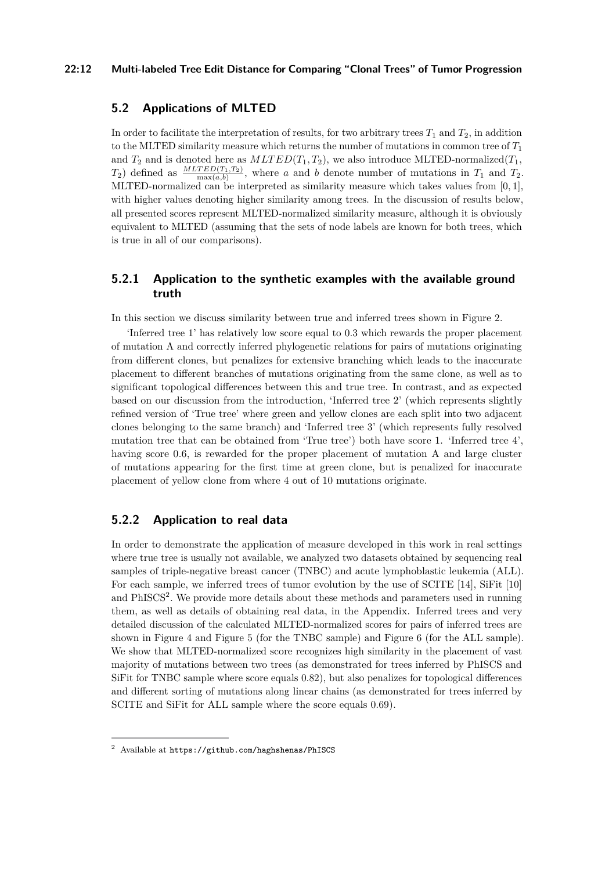#### **22:12 Multi-labeled Tree Edit Distance for Comparing "Clonal Trees" of Tumor Progression**

### **5.2 Applications of MLTED**

In order to facilitate the interpretation of results, for two arbitrary trees  $T_1$  and  $T_2$ , in addition to the MLTED similarity measure which returns the number of mutations in common tree of *T*<sup>1</sup> and  $T_2$  and is denoted here as  $MLTED(T_1, T_2)$ , we also introduce MLTED-normalized( $T_1$ ,  $T_2$ ) defined as  $\frac{MLTED(T_1,T_2)}{\max(a,b)}$ , where *a* and *b* denote number of mutations in  $T_1$  and  $T_2$ . MLTED-normalized can be interpreted as similarity measure which takes values from [0*,* 1], with higher values denoting higher similarity among trees. In the discussion of results below, all presented scores represent MLTED-normalized similarity measure, although it is obviously equivalent to MLTED (assuming that the sets of node labels are known for both trees, which is true in all of our comparisons).

# <span id="page-11-0"></span>**5.2.1 Application to the synthetic examples with the available ground truth**

In this section we discuss similarity between true and inferred trees shown in Figure [2.](#page-10-0)

'Inferred tree 1' has relatively low score equal to 0.3 which rewards the proper placement of mutation A and correctly inferred phylogenetic relations for pairs of mutations originating from different clones, but penalizes for extensive branching which leads to the inaccurate placement to different branches of mutations originating from the same clone, as well as to significant topological differences between this and true tree. In contrast, and as expected based on our discussion from the introduction, 'Inferred tree 2' (which represents slightly refined version of 'True tree' where green and yellow clones are each split into two adjacent clones belonging to the same branch) and 'Inferred tree 3' (which represents fully resolved mutation tree that can be obtained from 'True tree') both have score 1. 'Inferred tree 4', having score 0.6, is rewarded for the proper placement of mutation A and large cluster of mutations appearing for the first time at green clone, but is penalized for inaccurate placement of yellow clone from where 4 out of 10 mutations originate.

# **5.2.2 Application to real data**

In order to demonstrate the application of measure developed in this work in real settings where true tree is usually not available, we analyzed two datasets obtained by sequencing real samples of triple-negative breast cancer (TNBC) and acute lymphoblastic leukemia (ALL). For each sample, we inferred trees of tumor evolution by the use of SCITE [\[14\]](#page-13-4), SiFit [\[10\]](#page-13-2) and PhISCS<sup>[2](#page-11-1)</sup>. We provide more details about these methods and parameters used in running them, as well as details of obtaining real data, in the Appendix. Inferred trees and very detailed discussion of the calculated MLTED-normalized scores for pairs of inferred trees are shown in Figure [4](#page-15-0) and Figure [5](#page-16-0) (for the TNBC sample) and Figure [6](#page-17-0) (for the ALL sample). We show that MLTED-normalized score recognizes high similarity in the placement of vast majority of mutations between two trees (as demonstrated for trees inferred by PhISCS and SiFit for TNBC sample where score equals 0.82), but also penalizes for topological differences and different sorting of mutations along linear chains (as demonstrated for trees inferred by SCITE and SiFit for ALL sample where the score equals 0.69).

<span id="page-11-1"></span><sup>2</sup> Available at <https://github.com/haghshenas/PhISCS>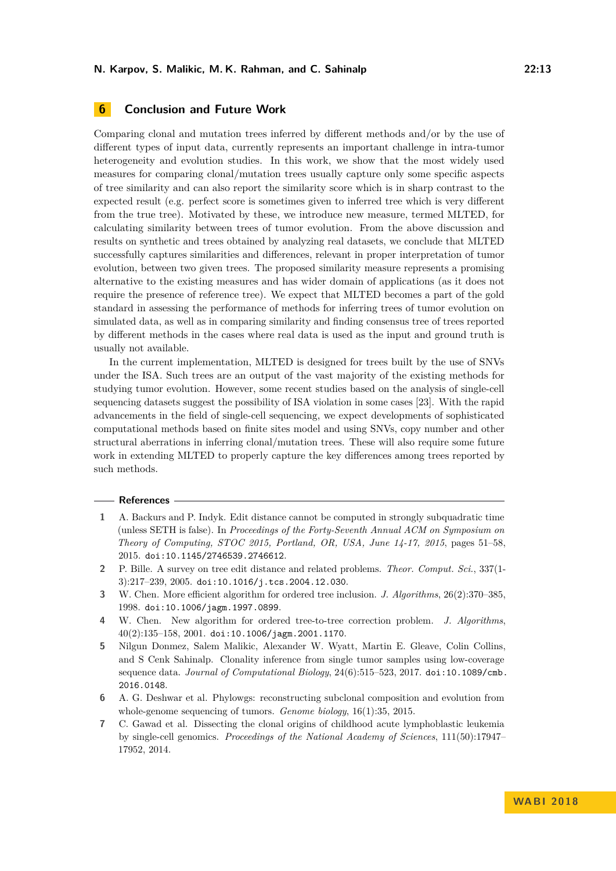# **6 Conclusion and Future Work**

Comparing clonal and mutation trees inferred by different methods and/or by the use of different types of input data, currently represents an important challenge in intra-tumor heterogeneity and evolution studies. In this work, we show that the most widely used measures for comparing clonal/mutation trees usually capture only some specific aspects of tree similarity and can also report the similarity score which is in sharp contrast to the expected result (e.g. perfect score is sometimes given to inferred tree which is very different from the true tree). Motivated by these, we introduce new measure, termed MLTED, for calculating similarity between trees of tumor evolution. From the above discussion and results on synthetic and trees obtained by analyzing real datasets, we conclude that MLTED successfully captures similarities and differences, relevant in proper interpretation of tumor evolution, between two given trees. The proposed similarity measure represents a promising alternative to the existing measures and has wider domain of applications (as it does not require the presence of reference tree). We expect that MLTED becomes a part of the gold standard in assessing the performance of methods for inferring trees of tumor evolution on simulated data, as well as in comparing similarity and finding consensus tree of trees reported by different methods in the cases where real data is used as the input and ground truth is usually not available.

In the current implementation, MLTED is designed for trees built by the use of SNVs under the ISA. Such trees are an output of the vast majority of the existing methods for studying tumor evolution. However, some recent studies based on the analysis of single-cell sequencing datasets suggest the possibility of ISA violation in some cases [\[23\]](#page-13-20). With the rapid advancements in the field of single-cell sequencing, we expect developments of sophisticated computational methods based on finite sites model and using SNVs, copy number and other structural aberrations in inferring clonal/mutation trees. These will also require some future work in extending MLTED to properly capture the key differences among trees reported by such methods.

#### **References**

- <span id="page-12-2"></span>**1** A. Backurs and P. Indyk. Edit distance cannot be computed in strongly subquadratic time (unless SETH is false). In *Proceedings of the Forty-Seventh Annual ACM on Symposium on Theory of Computing, STOC 2015, Portland, OR, USA, June 14-17, 2015*, pages 51–58, 2015. [doi:10.1145/2746539.2746612](http://dx.doi.org/10.1145/2746539.2746612).
- <span id="page-12-5"></span>**2** P. Bille. A survey on tree edit distance and related problems. *Theor. Comput. Sci.*, 337(1- 3):217–239, 2005. [doi:10.1016/j.tcs.2004.12.030](http://dx.doi.org/10.1016/j.tcs.2004.12.030).
- <span id="page-12-4"></span>**3** W. Chen. More efficient algorithm for ordered tree inclusion. *J. Algorithms*, 26(2):370–385, 1998. [doi:10.1006/jagm.1997.0899](http://dx.doi.org/10.1006/jagm.1997.0899).
- <span id="page-12-3"></span>**4** W. Chen. New algorithm for ordered tree-to-tree correction problem. *J. Algorithms*, 40(2):135–158, 2001. [doi:10.1006/jagm.2001.1170](http://dx.doi.org/10.1006/jagm.2001.1170).
- <span id="page-12-1"></span>**5** Nilgun Donmez, Salem Malikic, Alexander W. Wyatt, Martin E. Gleave, Colin Collins, and S Cenk Sahinalp. Clonality inference from single tumor samples using low-coverage sequence data. *Journal of Computational Biology*, 24(6):515–523, 2017. [doi:10.1089/cmb.](http://dx.doi.org/10.1089/cmb.2016.0148) [2016.0148](http://dx.doi.org/10.1089/cmb.2016.0148).
- <span id="page-12-0"></span>**6** A. G. Deshwar et al. Phylowgs: reconstructing subclonal composition and evolution from whole-genome sequencing of tumors. *Genome biology*, 16(1):35, 2015.
- <span id="page-12-6"></span>**7** C. Gawad et al. Dissecting the clonal origins of childhood acute lymphoblastic leukemia by single-cell genomics. *Proceedings of the National Academy of Sciences*, 111(50):17947– 17952, 2014.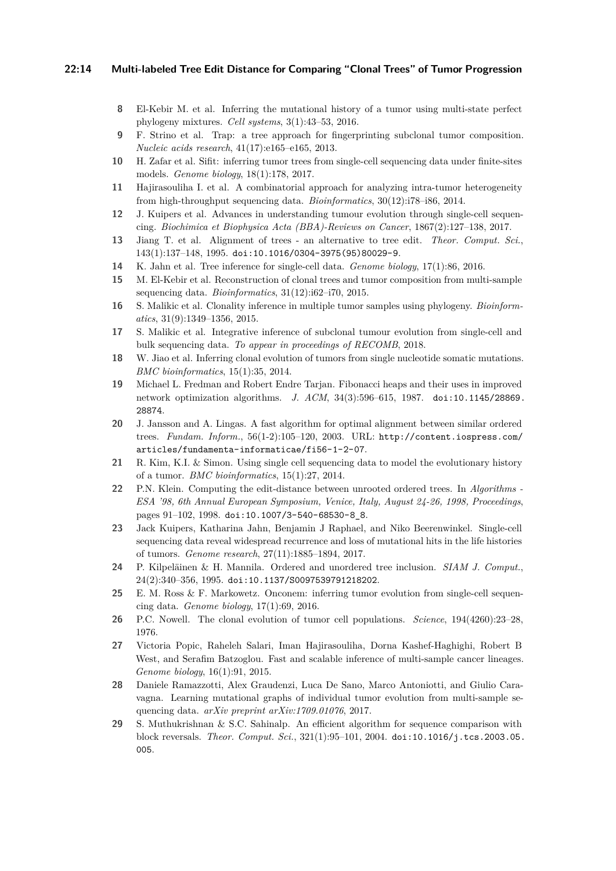#### **22:14 Multi-labeled Tree Edit Distance for Comparing "Clonal Trees" of Tumor Progression**

- <span id="page-13-12"></span>**8** El-Kebir M. et al. Inferring the mutational history of a tumor using multi-state perfect phylogeny mixtures. *Cell systems*, 3(1):43–53, 2016.
- <span id="page-13-5"></span>**9** F. Strino et al. Trap: a tree approach for fingerprinting subclonal tumor composition. *Nucleic acids research*, 41(17):e165–e165, 2013.
- <span id="page-13-2"></span>**10** H. Zafar et al. Sifit: inferring tumor trees from single-cell sequencing data under finite-sites models. *Genome biology*, 18(1):178, 2017.
- <span id="page-13-7"></span>**11** Hajirasouliha I. et al. A combinatorial approach for analyzing intra-tumor heterogeneity from high-throughput sequencing data. *Bioinformatics*, 30(12):i78–i86, 2014.
- <span id="page-13-1"></span>**12** J. Kuipers et al. Advances in understanding tumour evolution through single-cell sequencing. *Biochimica et Biophysica Acta (BBA)-Reviews on Cancer*, 1867(2):127–138, 2017.
- <span id="page-13-14"></span>**13** Jiang T. et al. Alignment of trees - an alternative to tree edit. *Theor. Comput. Sci.*, 143(1):137–148, 1995. [doi:10.1016/0304-3975\(95\)80029-9](http://dx.doi.org/10.1016/0304-3975(95)80029-9).
- <span id="page-13-4"></span>**14** K. Jahn et al. Tree inference for single-cell data. *Genome biology*, 17(1):86, 2016.
- <span id="page-13-8"></span>**15** M. El-Kebir et al. Reconstruction of clonal trees and tumor composition from multi-sample sequencing data. *Bioinformatics*, 31(12):i62–i70, 2015.
- <span id="page-13-10"></span>**16** S. Malikic et al. Clonality inference in multiple tumor samples using phylogeny. *Bioinformatics*, 31(9):1349–1356, 2015.
- <span id="page-13-19"></span>**17** S. Malikic et al. Integrative inference of subclonal tumour evolution from single-cell and bulk sequencing data. *To appear in proceedings of RECOMB*, 2018.
- <span id="page-13-6"></span>**18** W. Jiao et al. Inferring clonal evolution of tumors from single nucleotide somatic mutations. *BMC bioinformatics*, 15(1):35, 2014.
- <span id="page-13-18"></span>**19** Michael L. Fredman and Robert Endre Tarjan. Fibonacci heaps and their uses in improved network optimization algorithms. *J. ACM*, 34(3):596–615, 1987. [doi:10.1145/28869.](http://dx.doi.org/10.1145/28869.28874) [28874](http://dx.doi.org/10.1145/28869.28874).
- <span id="page-13-16"></span>**20** J. Jansson and A. Lingas. A fast algorithm for optimal alignment between similar ordered trees. *Fundam. Inform.*, 56(1-2):105–120, 2003. URL: [http://content.iospress.com/](http://content.iospress.com/articles/fundamenta-informaticae/fi56-1-2-07) [articles/fundamenta-informaticae/fi56-1-2-07](http://content.iospress.com/articles/fundamenta-informaticae/fi56-1-2-07).
- <span id="page-13-3"></span>**21** R. Kim, K.I. & Simon. Using single cell sequencing data to model the evolutionary history of a tumor. *BMC bioinformatics*, 15(1):27, 2014.
- <span id="page-13-15"></span>**22** P.N. Klein. Computing the edit-distance between unrooted ordered trees. In *Algorithms - ESA '98, 6th Annual European Symposium, Venice, Italy, August 24-26, 1998, Proceedings*, pages 91–102, 1998. [doi:10.1007/3-540-68530-8\\_8](http://dx.doi.org/10.1007/3-540-68530-8_8).
- <span id="page-13-20"></span>**23** Jack Kuipers, Katharina Jahn, Benjamin J Raphael, and Niko Beerenwinkel. Single-cell sequencing data reveal widespread recurrence and loss of mutational hits in the life histories of tumors. *Genome research*, 27(11):1885–1894, 2017.
- <span id="page-13-17"></span>**24** P. Kilpeläinen & H. Mannila. Ordered and unordered tree inclusion. *SIAM J. Comput.*, 24(2):340–356, 1995. [doi:10.1137/S0097539791218202](http://dx.doi.org/10.1137/S0097539791218202).
- <span id="page-13-11"></span>**25** E. M. Ross & F. Markowetz. Onconem: inferring tumor evolution from single-cell sequencing data. *Genome biology*, 17(1):69, 2016.
- <span id="page-13-0"></span>**26** P.C. Nowell. The clonal evolution of tumor cell populations. *Science*, 194(4260):23–28, 1976.
- <span id="page-13-9"></span>**27** Victoria Popic, Raheleh Salari, Iman Hajirasouliha, Dorna Kashef-Haghighi, Robert B West, and Serafim Batzoglou. Fast and scalable inference of multi-sample cancer lineages. *Genome biology*, 16(1):91, 2015.
- <span id="page-13-21"></span>**28** Daniele Ramazzotti, Alex Graudenzi, Luca De Sano, Marco Antoniotti, and Giulio Caravagna. Learning mutational graphs of individual tumor evolution from multi-sample sequencing data. *arXiv preprint arXiv:1709.01076*, 2017.
- <span id="page-13-13"></span>**29** S. Muthukrishnan & S.C. Sahinalp. An efficient algorithm for sequence comparison with block reversals. *Theor. Comput. Sci.*, 321(1):95–101, 2004. [doi:10.1016/j.tcs.2003.05.](http://dx.doi.org/10.1016/j.tcs.2003.05.005) [005](http://dx.doi.org/10.1016/j.tcs.2003.05.005).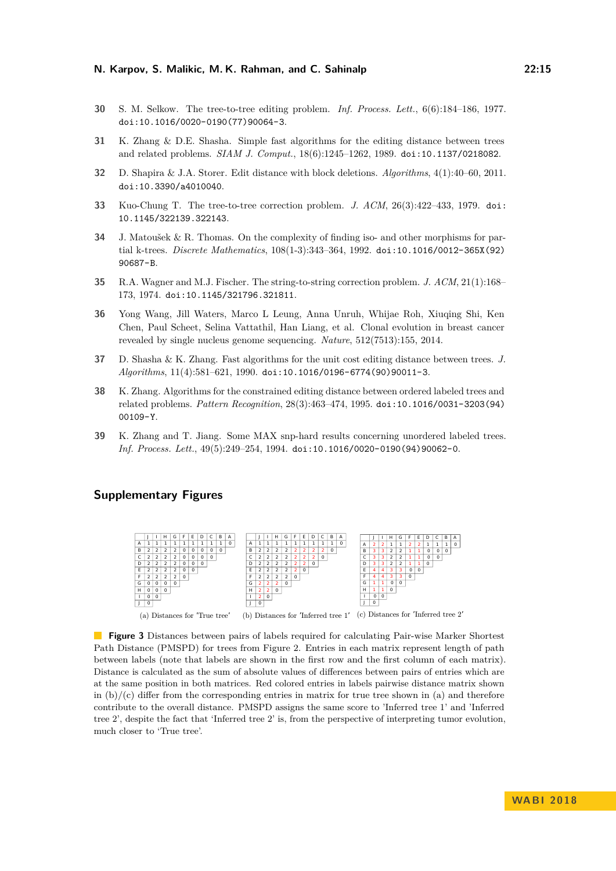- <span id="page-14-6"></span>**30** S. M. Selkow. The tree-to-tree editing problem. *Inf. Process. Lett.*, 6(6):184–186, 1977. [doi:10.1016/0020-0190\(77\)90064-3](http://dx.doi.org/10.1016/0020-0190(77)90064-3).
- <span id="page-14-2"></span>**31** K. Zhang & D.E. Shasha. Simple fast algorithms for the editing distance between trees and related problems. *SIAM J. Comput.*, 18(6):1245–1262, 1989. [doi:10.1137/0218082](http://dx.doi.org/10.1137/0218082).
- <span id="page-14-1"></span>**32** D. Shapira & J.A. Storer. Edit distance with block deletions. *Algorithms*, 4(1):40–60, 2011. [doi:10.3390/a4010040](http://dx.doi.org/10.3390/a4010040).
- <span id="page-14-3"></span>**33** Kuo-Chung T. The tree-to-tree correction problem. *J. ACM*, 26(3):422–433, 1979. [doi:](http://dx.doi.org/10.1145/322139.322143) [10.1145/322139.322143](http://dx.doi.org/10.1145/322139.322143).
- <span id="page-14-7"></span>**34** J. Matoušek & R. Thomas. On the complexity of finding iso- and other morphisms for partial k-trees. *Discrete Mathematics*, 108(1-3):343–364, 1992. [doi:10.1016/0012-365X\(92\)](http://dx.doi.org/10.1016/0012-365X(92)90687-B) [90687-B](http://dx.doi.org/10.1016/0012-365X(92)90687-B).
- <span id="page-14-0"></span>**35** R.A. Wagner and M.J. Fischer. The string-to-string correction problem. *J. ACM*, 21(1):168– 173, 1974. [doi:10.1145/321796.321811](http://dx.doi.org/10.1145/321796.321811).
- <span id="page-14-10"></span>**36** Yong Wang, Jill Waters, Marco L Leung, Anna Unruh, Whijae Roh, Xiuqing Shi, Ken Chen, Paul Scheet, Selina Vattathil, Han Liang, et al. Clonal evolution in breast cancer revealed by single nucleus genome sequencing. *Nature*, 512(7513):155, 2014.
- <span id="page-14-5"></span>**37** D. Shasha & K. Zhang. Fast algorithms for the unit cost editing distance between trees. *J. Algorithms*, 11(4):581–621, 1990. [doi:10.1016/0196-6774\(90\)90011-3](http://dx.doi.org/10.1016/0196-6774(90)90011-3).
- <span id="page-14-4"></span>**38** K. Zhang. Algorithms for the constrained editing distance between ordered labeled trees and related problems. *Pattern Recognition*, 28(3):463–474, 1995. [doi:10.1016/0031-3203\(94\)](http://dx.doi.org/10.1016/0031-3203(94)00109-Y) [00109-Y](http://dx.doi.org/10.1016/0031-3203(94)00109-Y).
- <span id="page-14-8"></span>**39** K. Zhang and T. Jiang. Some MAX snp-hard results concerning unordered labeled trees. *Inf. Process. Lett.*, 49(5):249–254, 1994. [doi:10.1016/0020-0190\(94\)90062-0](http://dx.doi.org/10.1016/0020-0190(94)90062-0).

# **Supplementary Figures**

<span id="page-14-9"></span>

**Figure 3** Distances between pairs of labels required for calculating Pair-wise Marker Shortest Path Distance (PMSPD) for trees from Figure [2.](#page-10-0) Entries in each matrix represent length of path between labels (note that labels are shown in the first row and the first column of each matrix). Distance is calculated as the sum of absolute values of differences between pairs of entries which are at the same position in both matrices. Red colored entries in labels pairwise distance matrix shown in  $(b)/(c)$  differ from the corresponding entries in matrix for true tree shown in (a) and therefore contribute to the overall distance. PMSPD assigns the same score to 'Inferred tree 1' and 'Inferred tree 2', despite the fact that 'Inferred tree 2' is, from the perspective of interpreting tumor evolution, much closer to 'True tree'.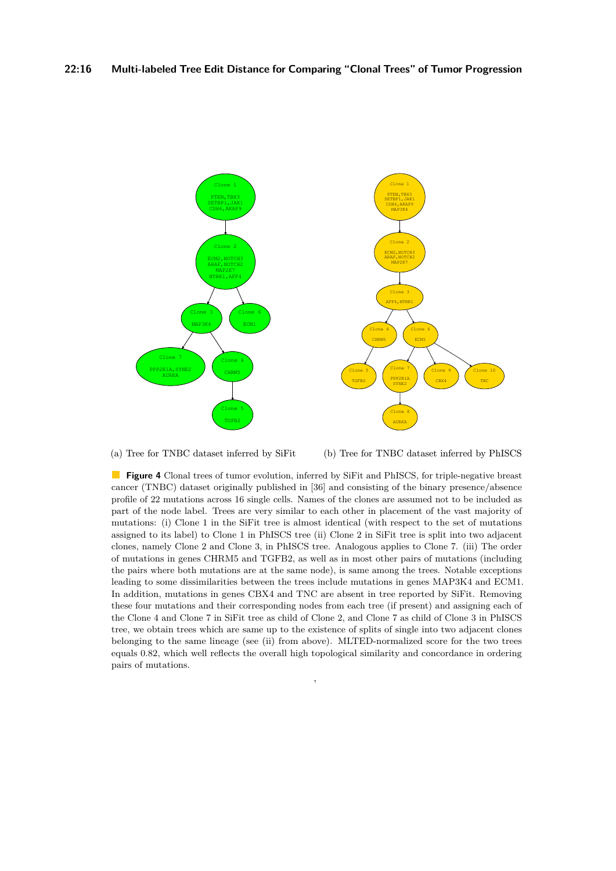<span id="page-15-0"></span>

(a) Tree for TNBC dataset inferred by SiFit

(b) Tree for TNBC dataset inferred by PhISCS

**Figure 4** Clonal trees of tumor evolution, inferred by SiFit and PhISCS, for triple-negative breast cancer (TNBC) dataset originally published in [\[36\]](#page-14-10) and consisting of the binary presence/absence profile of 22 mutations across 16 single cells. Names of the clones are assumed not to be included as part of the node label. Trees are very similar to each other in placement of the vast majority of mutations: (i) Clone 1 in the SiFit tree is almost identical (with respect to the set of mutations assigned to its label) to Clone 1 in PhISCS tree (ii) Clone 2 in SiFit tree is split into two adjacent clones, namely Clone 2 and Clone 3, in PhISCS tree. Analogous applies to Clone 7. (iii) The order of mutations in genes CHRM5 and TGFB2, as well as in most other pairs of mutations (including the pairs where both mutations are at the same node), is same among the trees. Notable exceptions leading to some dissimilarities between the trees include mutations in genes MAP3K4 and ECM1. In addition, mutations in genes CBX4 and TNC are absent in tree reported by SiFit. Removing these four mutations and their corresponding nodes from each tree (if present) and assigning each of the Clone 4 and Clone 7 in SiFit tree as child of Clone 2, and Clone 7 as child of Clone 3 in PhISCS tree, we obtain trees which are same up to the existence of splits of single into two adjacent clones belonging to the same lineage (see (ii) from above). MLTED-normalized score for the two trees equals 0.82, which well reflects the overall high topological similarity and concordance in ordering pairs of mutations.

,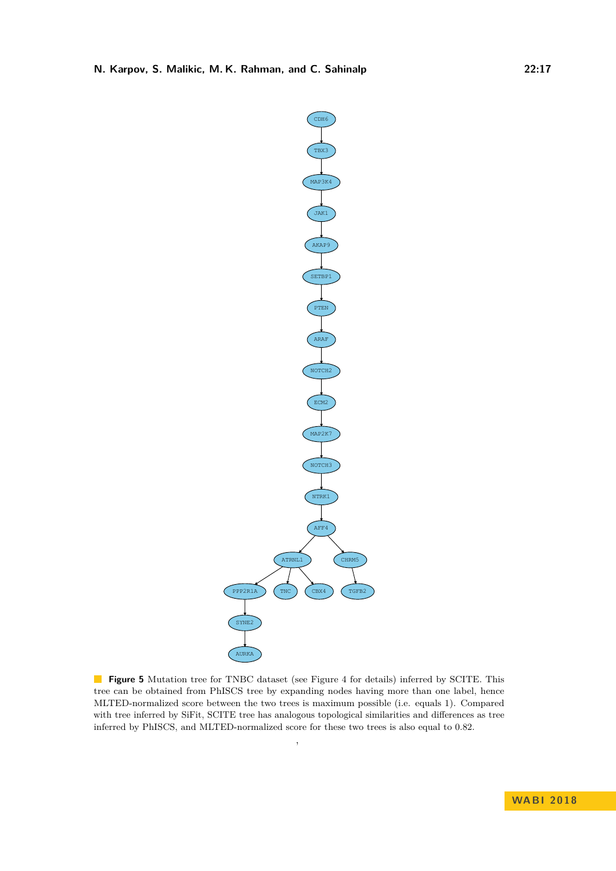<span id="page-16-0"></span>

**Figure 5** Mutation tree for TNBC dataset (see Figure [4](#page-15-0) for details) inferred by SCITE. This tree can be obtained from PhISCS tree by expanding nodes having more than one label, hence MLTED-normalized score between the two trees is maximum possible (i.e. equals 1). Compared with tree inferred by SiFit, SCITE tree has analogous topological similarities and differences as tree inferred by PhISCS, and MLTED-normalized score for these two trees is also equal to 0.82.

,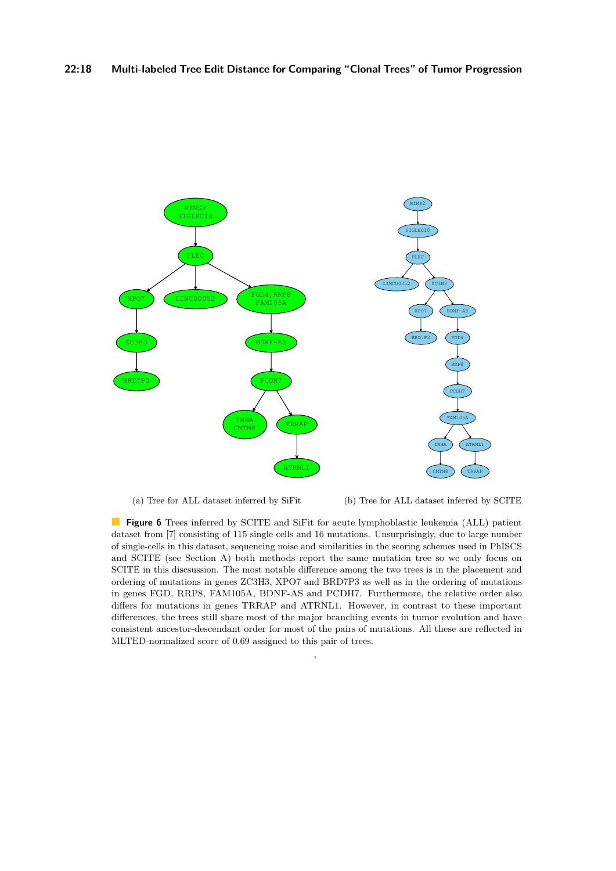<span id="page-17-0"></span>

(a) Tree for ALL dataset inferred by SiFit

(b) Tree for ALL dataset inferred by SCITE

**Figure 6** Trees inferred by SCITE and SiFit for acute lymphoblastic leukemia (ALL) patient dataset from [\[7\]](#page-12-6) consisting of 115 single cells and 16 mutations. Unsurprisingly, due to large number of single-cells in this dataset, sequencing noise and similarities in the scoring schemes used in PhISCS and SCITE (see Section [A\)](#page-18-1) both methods report the same mutation tree so we only focus on SCITE in this discsussion. The most notable difference among the two trees is in the placement and ordering of mutations in genes ZC3H3, XPO7 and BRD7P3 as well as in the ordering of mutations in genes FGD, RRP8, FAM105A, BDNF-AS and PCDH7. Furthermore, the relative order also differs for mutations in genes TRRAP and ATRNL1. However, in contrast to these important differences, the trees still share most of the major branching events in tumor evolution and have consistent ancestor-descendant order for most of the pairs of mutations. All these are reflected in MLTED-normalized score of 0.69 assigned to this pair of trees.

,